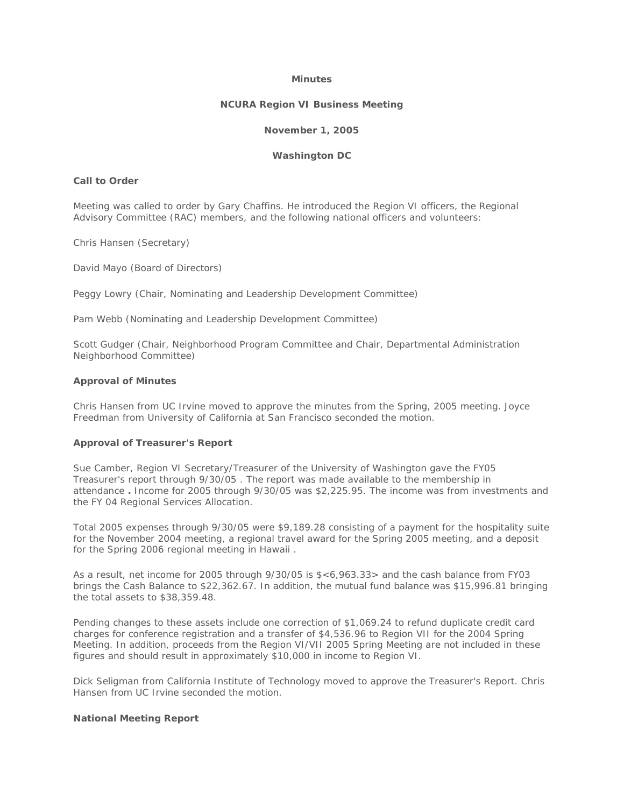#### **Minutes**

#### **NCURA Region VI Business Meeting**

### **November 1, 2005**

#### **Washington DC**

# **Call to Order**

Meeting was called to order by Gary Chaffins. He introduced the Region VI officers, the Regional Advisory Committee (RAC) members, and the following national officers and volunteers:

Chris Hansen (Secretary)

David Mayo (Board of Directors)

Peggy Lowry (Chair, Nominating and Leadership Development Committee)

Pam Webb (Nominating and Leadership Development Committee)

Scott Gudger (Chair, Neighborhood Program Committee and Chair, Departmental Administration Neighborhood Committee)

#### **Approval of Minutes**

Chris Hansen from UC Irvine moved to approve the minutes from the Spring, 2005 meeting. Joyce Freedman from University of California at San Francisco seconded the motion.

### **Approval of Treasurer's Report**

Sue Camber, Region VI Secretary/Treasurer of the University of Washington gave the FY05 Treasurer's report through 9/30/05 . The report was made available to the membership in attendance **.** Income for 2005 through 9/30/05 was \$2,225.95. The income was from investments and the FY 04 Regional Services Allocation.

Total 2005 expenses through 9/30/05 were \$9,189.28 consisting of a payment for the hospitality suite for the November 2004 meeting, a regional travel award for the Spring 2005 meeting, and a deposit for the Spring 2006 regional meeting in Hawaii .

As a result, net income for 2005 through 9/30/05 is \$<6,963.33> and the cash balance from FY03 brings the Cash Balance to \$22,362.67. In addition, the mutual fund balance was \$15,996.81 bringing the total assets to \$38,359.48.

Pending changes to these assets include one correction of \$1,069.24 to refund duplicate credit card charges for conference registration and a transfer of \$4,536.96 to Region VII for the 2004 Spring Meeting. In addition, proceeds from the Region VI/VII 2005 Spring Meeting are not included in these figures and should result in approximately \$10,000 in income to Region VI.

Dick Seligman from California Institute of Technology moved to approve the Treasurer's Report. Chris Hansen from UC Irvine seconded the motion.

#### **National Meeting Report**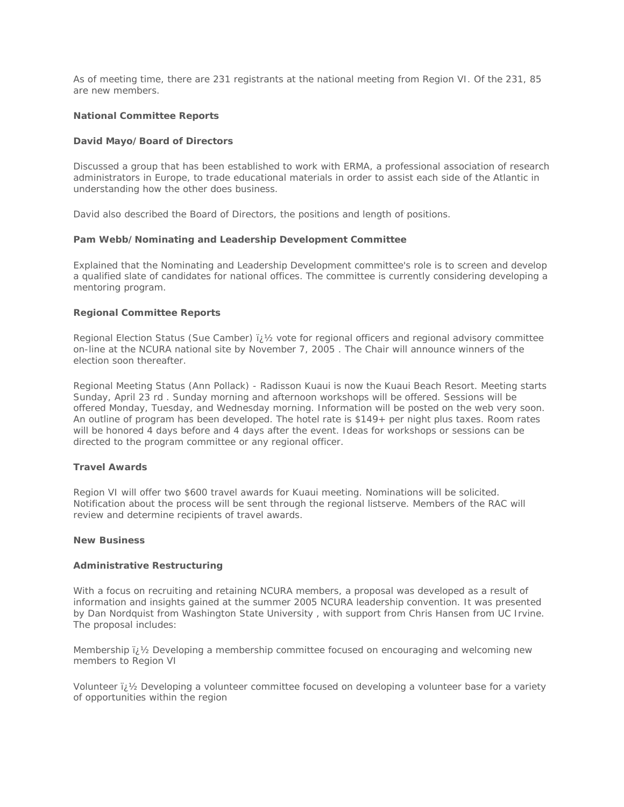As of meeting time, there are 231 registrants at the national meeting from Region VI. Of the 231, 85 are new members.

# **National Committee Reports**

# *David Mayo/Board of Directors*

Discussed a group that has been established to work with ERMA, a professional association of research administrators in Europe, to trade educational materials in order to assist each side of the Atlantic in understanding how the other does business.

David also described the Board of Directors, the positions and length of positions.

### *Pam Webb/Nominating and Leadership Development Committee*

Explained that the Nominating and Leadership Development committee's role is to screen and develop a qualified slate of candidates for national offices. The committee is currently considering developing a mentoring program.

# **Regional Committee Reports**

Regional Election Status (Sue Camber)  $\mu$  /2 vote for regional officers and regional advisory committee on-line at the NCURA national site by November 7, 2005 . The Chair will announce winners of the election soon thereafter.

Regional Meeting Status (Ann Pollack) - Radisson Kuaui is now the Kuaui Beach Resort. Meeting starts Sunday, April 23 rd . Sunday morning and afternoon workshops will be offered. Sessions will be offered Monday, Tuesday, and Wednesday morning. Information will be posted on the web very soon. An outline of program has been developed. The hotel rate is \$149+ per night plus taxes. Room rates will be honored 4 days before and 4 days after the event. Ideas for workshops or sessions can be directed to the program committee or any regional officer.

# **Travel Awards**

Region VI will offer two \$600 travel awards for Kuaui meeting. Nominations will be solicited. Notification about the process will be sent through the regional listserve. Members of the RAC will review and determine recipients of travel awards.

# **New Business**

### *Administrative Restructuring*

With a focus on recruiting and retaining NCURA members, a proposal was developed as a result of information and insights gained at the summer 2005 NCURA leadership convention. It was presented by Dan Nordquist from Washington State University , with support from Chris Hansen from UC Irvine. The proposal includes:

Membership  $\mathcal{V}$  Developing a membership committee focused on encouraging and welcoming new members to Region VI

Volunteer  $i\chi$  Developing a volunteer committee focused on developing a volunteer base for a variety of opportunities within the region